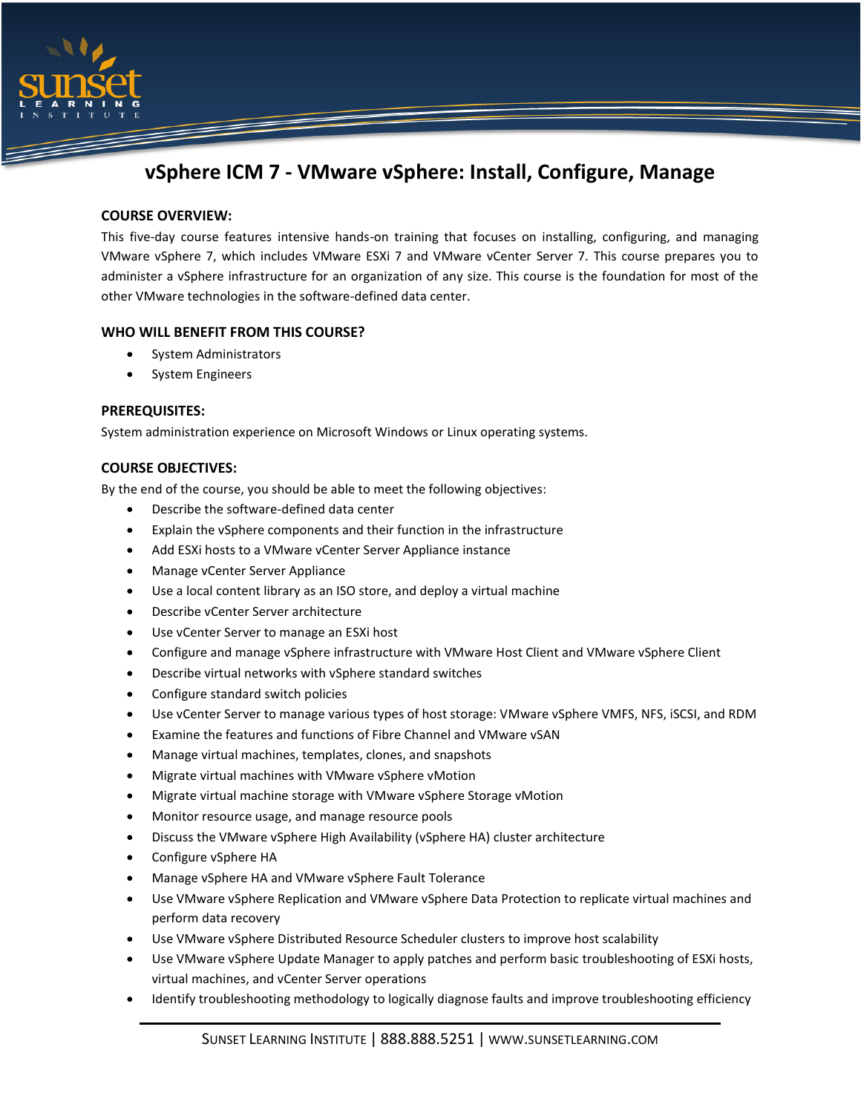

# **vSphere ICM 7 - VMware vSphere: Install, Configure, Manage**

# **COURSE OVERVIEW:**

This five-day course features intensive hands-on training that focuses on installing, configuring, and managing VMware vSphere 7, which includes VMware ESXi 7 and VMware vCenter Server 7. This course prepares you to administer a vSphere infrastructure for an organization of any size. This course is the foundation for most of the other VMware technologies in the software-defined data center.

# **WHO WILL BENEFIT FROM THIS COURSE?**

- System Administrators
- System Engineers

# **PREREQUISITES:**

System administration experience on Microsoft Windows or Linux operating systems.

# **COURSE OBJECTIVES:**

By the end of the course, you should be able to meet the following objectives:

- Describe the software-defined data center
- Explain the vSphere components and their function in the infrastructure
- Add ESXi hosts to a VMware vCenter Server Appliance instance
- Manage vCenter Server Appliance
- Use a local content library as an ISO store, and deploy a virtual machine
- Describe vCenter Server architecture
- Use vCenter Server to manage an ESXi host
- Configure and manage vSphere infrastructure with VMware Host Client and VMware vSphere Client
- Describe virtual networks with vSphere standard switches
- Configure standard switch policies
- Use vCenter Server to manage various types of host storage: VMware vSphere VMFS, NFS, iSCSI, and RDM
- Examine the features and functions of Fibre Channel and VMware vSAN
- Manage virtual machines, templates, clones, and snapshots
- Migrate virtual machines with VMware vSphere vMotion
- Migrate virtual machine storage with VMware vSphere Storage vMotion
- Monitor resource usage, and manage resource pools
- Discuss the VMware vSphere High Availability (vSphere HA) cluster architecture
- Configure vSphere HA
- Manage vSphere HA and VMware vSphere Fault Tolerance
- Use VMware vSphere Replication and VMware vSphere Data Protection to replicate virtual machines and perform data recovery
- Use VMware vSphere Distributed Resource Scheduler clusters to improve host scalability
- Use VMware vSphere Update Manager to apply patches and perform basic troubleshooting of ESXi hosts, virtual machines, and vCenter Server operations
- Identify troubleshooting methodology to logically diagnose faults and improve troubleshooting efficiency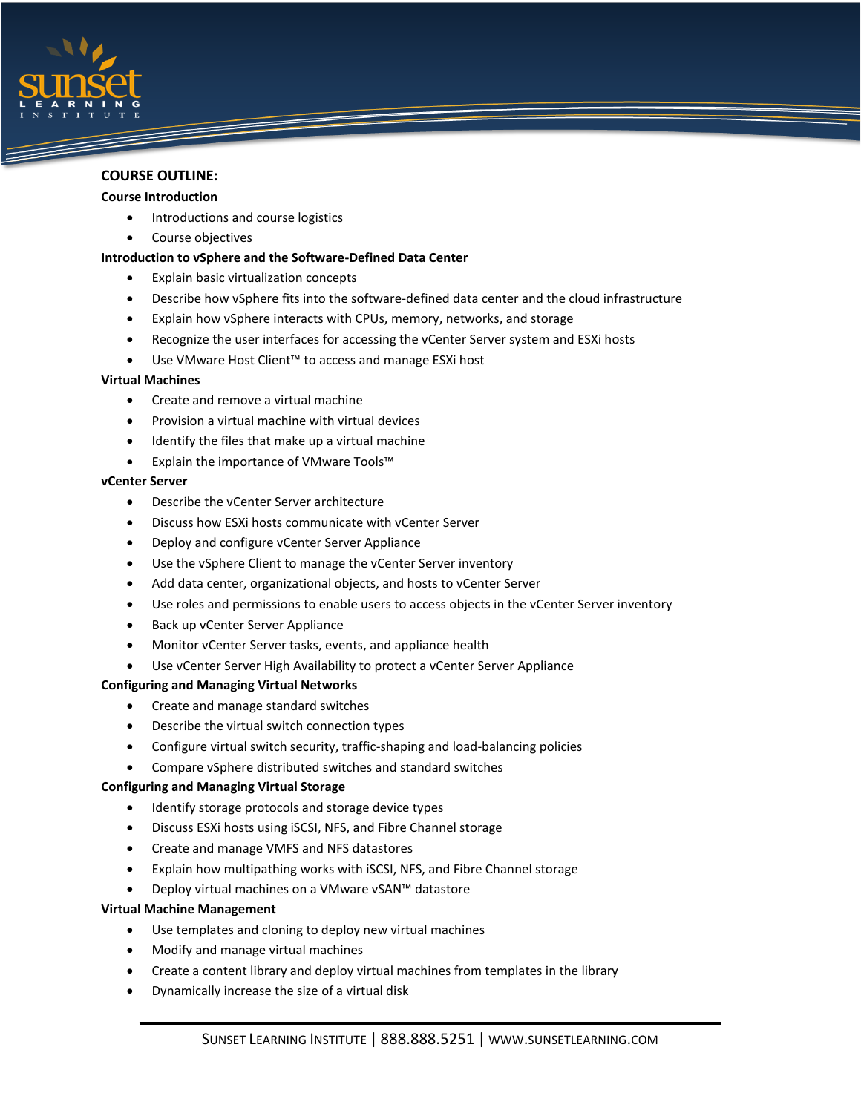

# **COURSE OUTLINE:**

### **Course Introduction**

- Introductions and course logistics
- Course objectives

### **Introduction to vSphere and the Software-Defined Data Center**

- Explain basic virtualization concepts
- Describe how vSphere fits into the software-defined data center and the cloud infrastructure
- Explain how vSphere interacts with CPUs, memory, networks, and storage
- Recognize the user interfaces for accessing the vCenter Server system and ESXi hosts
- Use VMware Host Client™ to access and manage ESXi host

## **Virtual Machines**

- Create and remove a virtual machine
- Provision a virtual machine with virtual devices
- Identify the files that make up a virtual machine
- Explain the importance of VMware Tools™

#### **vCenter Server**

- Describe the vCenter Server architecture
- Discuss how ESXi hosts communicate with vCenter Server
- Deploy and configure vCenter Server Appliance
- Use the vSphere Client to manage the vCenter Server inventory
- Add data center, organizational objects, and hosts to vCenter Server
- Use roles and permissions to enable users to access objects in the vCenter Server inventory
- Back up vCenter Server Appliance
- Monitor vCenter Server tasks, events, and appliance health
- Use vCenter Server High Availability to protect a vCenter Server Appliance

#### **Configuring and Managing Virtual Networks**

- Create and manage standard switches
- Describe the virtual switch connection types
- Configure virtual switch security, traffic-shaping and load-balancing policies
- Compare vSphere distributed switches and standard switches

## **Configuring and Managing Virtual Storage**

- Identify storage protocols and storage device types
- Discuss ESXi hosts using iSCSI, NFS, and Fibre Channel storage
- Create and manage VMFS and NFS datastores
- Explain how multipathing works with iSCSI, NFS, and Fibre Channel storage
- Deploy virtual machines on a VMware vSAN™ datastore

#### **Virtual Machine Management**

- Use templates and cloning to deploy new virtual machines
- Modify and manage virtual machines
- Create a content library and deploy virtual machines from templates in the library
- Dynamically increase the size of a virtual disk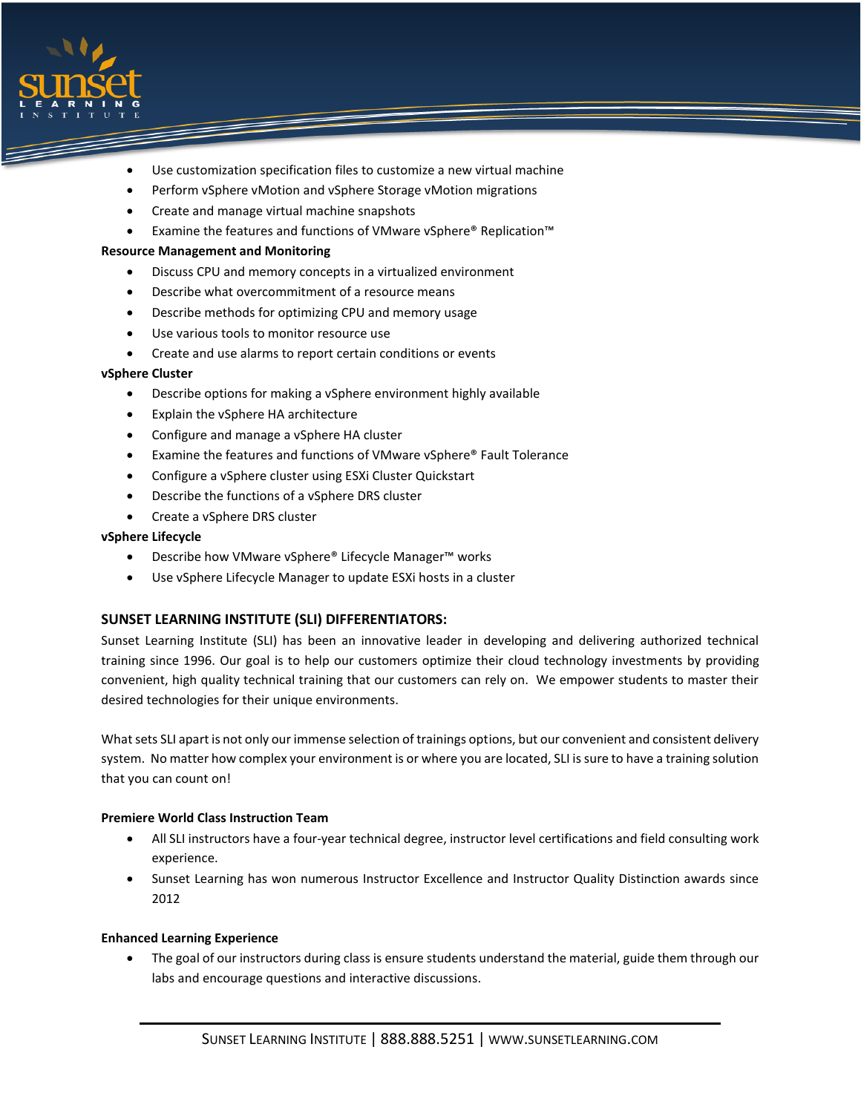

- Use customization specification files to customize a new virtual machine
- Perform vSphere vMotion and vSphere Storage vMotion migrations
- Create and manage virtual machine snapshots
- Examine the features and functions of VMware vSphere® Replication™

# **Resource Management and Monitoring**

- Discuss CPU and memory concepts in a virtualized environment
- Describe what overcommitment of a resource means
- Describe methods for optimizing CPU and memory usage
- Use various tools to monitor resource use
- Create and use alarms to report certain conditions or events

## **vSphere Cluster**

- Describe options for making a vSphere environment highly available
- Explain the vSphere HA architecture
- Configure and manage a vSphere HA cluster
- Examine the features and functions of VMware vSphere® Fault Tolerance
- Configure a vSphere cluster using ESXi Cluster Quickstart
- Describe the functions of a vSphere DRS cluster
- Create a vSphere DRS cluster

#### **vSphere Lifecycle**

- Describe how VMware vSphere® Lifecycle Manager™ works
- Use vSphere Lifecycle Manager to update ESXi hosts in a cluster

# **SUNSET LEARNING INSTITUTE (SLI) DIFFERENTIATORS:**

Sunset Learning Institute (SLI) has been an innovative leader in developing and delivering authorized technical training since 1996. Our goal is to help our customers optimize their cloud technology investments by providing convenient, high quality technical training that our customers can rely on. We empower students to master their desired technologies for their unique environments.

What sets SLI apart is not only our immense selection of trainings options, but our convenient and consistent delivery system. No matter how complex your environment is or where you are located, SLI is sure to have a training solution that you can count on!

#### **Premiere World Class Instruction Team**

- All SLI instructors have a four-year technical degree, instructor level certifications and field consulting work experience.
- Sunset Learning has won numerous Instructor Excellence and Instructor Quality Distinction awards since 2012

#### **Enhanced Learning Experience**

• The goal of our instructors during class is ensure students understand the material, guide them through our labs and encourage questions and interactive discussions.